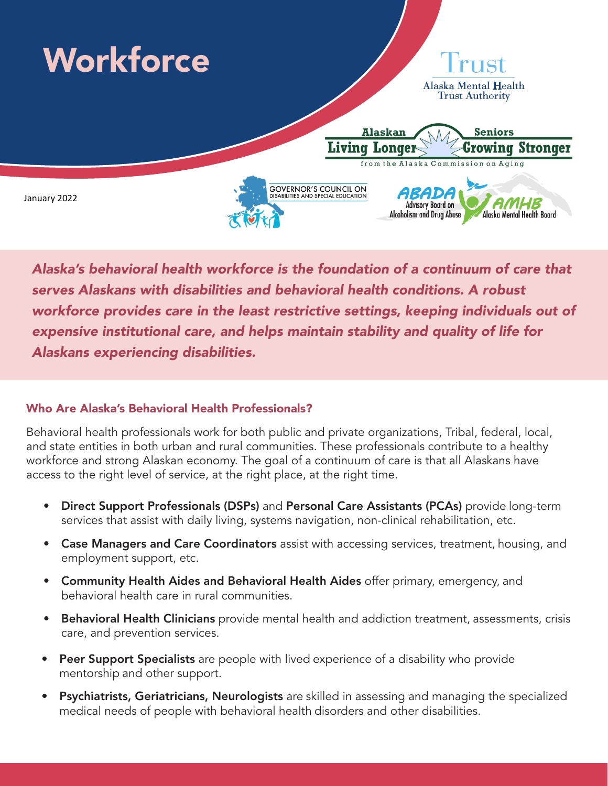

*Alaska's behavioral health workforce is the foundation of a continuum of care that serves Alaskans with disabilities and behavioral health conditions. A robust workforce provides care in the least restrictive settings, keeping individuals out of expensive institutional care, and helps maintain stability and quality of life for Alaskans experiencing disabilities.*

## Who Are Alaska's Behavioral Health Professionals?

Behavioral health professionals work for both public and private organizations, Tribal, federal, local, and state entities in both urban and rural communities. These professionals contribute to a healthy workforce and strong Alaskan economy. The goal of a continuum of care is that all Alaskans have access to the right level of service, at the right place, at the right time.

- Direct Support Professionals (DSPs) and Personal Care Assistants (PCAs) provide long-term services that assist with daily living, systems navigation, non-clinical rehabilitation, etc.
- Case Managers and Care Coordinators assist with accessing services, treatment, housing, and employment support, etc.
- Community Health Aides and Behavioral Health Aides offer primary, emergency, and behavioral health care in rural communities.
- Behavioral Health Clinicians provide mental health and addiction treatment, assessments, crisis care, and prevention services.
- Peer Support Specialists are people with lived experience of a disability who provide mentorship and other support.
- Psychiatrists, Geriatricians, Neurologists are skilled in assessing and managing the specialized medical needs of people with behavioral health disorders and other disabilities.